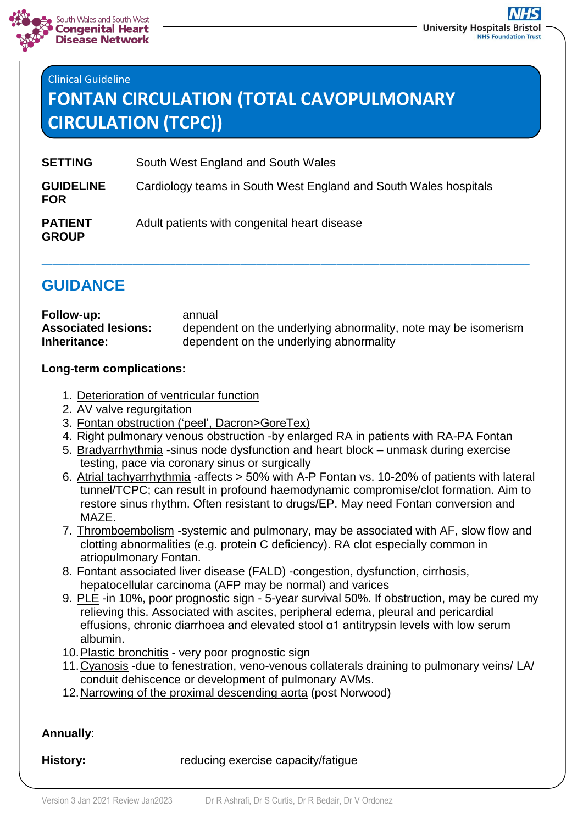

# Clinical Guideline **FONTAN CIRCULATION (TOTAL CAVOPULMONARY CIRCULATION (TCPC))**

| <b>SETTING</b>                 | South West England and South Wales                               |
|--------------------------------|------------------------------------------------------------------|
| <b>GUIDELINE</b><br><b>FOR</b> | Cardiology teams in South West England and South Wales hospitals |
| <b>PATIENT</b><br><b>GROUP</b> | Adult patients with congenital heart disease                     |

# **GUIDANCE**

| Follow-up:                 | annual                                                         |
|----------------------------|----------------------------------------------------------------|
| <b>Associated lesions:</b> | dependent on the underlying abnormality, note may be isomerism |
| Inheritance:               | dependent on the underlying abnormality                        |

\_\_\_\_\_\_\_\_\_\_\_\_\_\_\_\_\_\_\_\_\_\_\_\_\_\_\_\_\_\_\_\_\_\_\_\_\_\_\_\_\_\_\_\_\_\_\_\_\_\_\_\_\_\_\_\_\_\_\_\_\_\_\_\_\_\_\_\_\_\_\_\_\_\_\_\_\_\_\_\_\_\_\_\_\_\_\_\_\_\_\_

#### **Long-term complications:**

- 1. Deterioration of ventricular function
- 2. AV valve regurgitation
- 3. Fontan obstruction ('peel', Dacron>GoreTex)
- 4. Right pulmonary venous obstruction -by enlarged RA in patients with RA-PA Fontan
- 5. Bradyarrhythmia -sinus node dysfunction and heart block unmask during exercise testing, pace via coronary sinus or surgically
- 6. Atrial tachyarrhythmia -affects > 50% with A-P Fontan vs. 10-20% of patients with lateral tunnel/TCPC; can result in profound haemodynamic compromise/clot formation. Aim to restore sinus rhythm. Often resistant to drugs/EP. May need Fontan conversion and MAZE.
- 7. Thromboembolism -systemic and pulmonary, may be associated with AF, slow flow and clotting abnormalities (e.g. protein C deficiency). RA clot especially common in atriopulmonary Fontan.
- 8. Fontant associated liver disease (FALD) -congestion, dysfunction, cirrhosis, hepatocellular carcinoma (AFP may be normal) and varices
- 9. PLE -in 10%, poor prognostic sign 5-year survival 50%. If obstruction, may be cured my relieving this. Associated with ascites, peripheral edema, pleural and pericardial effusions, chronic diarrhoea and elevated stool α1 antitrypsin levels with low serum albumin.
- 10. Plastic bronchitis very poor prognostic sign
- 11.Cyanosis -due to fenestration, veno-venous collaterals draining to pulmonary veins/ LA/ conduit dehiscence or development of pulmonary AVMs.
- 12.Narrowing of the proximal descending aorta (post Norwood)

## **Annually**:

**History:** reducing exercise capacity/fatigue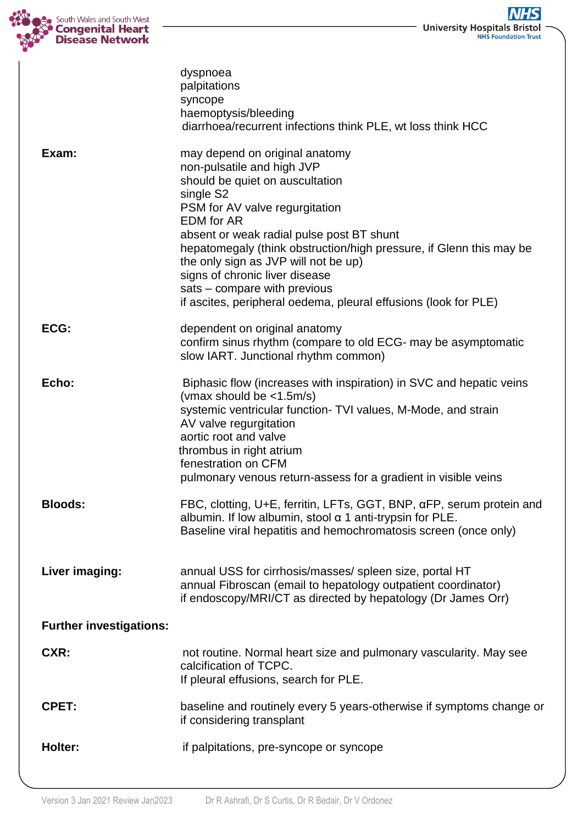

|                                | dyspnoea<br>palpitations<br>syncope<br>haemoptysis/bleeding<br>diarrhoea/recurrent infections think PLE, wt loss think HCC                                                                                                                                                                                                                                                                                                                                           |
|--------------------------------|----------------------------------------------------------------------------------------------------------------------------------------------------------------------------------------------------------------------------------------------------------------------------------------------------------------------------------------------------------------------------------------------------------------------------------------------------------------------|
| Exam:                          | may depend on original anatomy<br>non-pulsatile and high JVP<br>should be quiet on auscultation<br>single S2<br>PSM for AV valve regurgitation<br><b>EDM</b> for AR<br>absent or weak radial pulse post BT shunt<br>hepatomegaly (think obstruction/high pressure, if Glenn this may be<br>the only sign as JVP will not be up)<br>signs of chronic liver disease<br>sats – compare with previous<br>if ascites, peripheral oedema, pleural effusions (look for PLE) |
| ECG:                           | dependent on original anatomy<br>confirm sinus rhythm (compare to old ECG- may be asymptomatic<br>slow IART. Junctional rhythm common)                                                                                                                                                                                                                                                                                                                               |
| Echo:                          | Biphasic flow (increases with inspiration) in SVC and hepatic veins<br>(vmax should be $\langle$ 1.5m/s)<br>systemic ventricular function- TVI values, M-Mode, and strain<br>AV valve regurgitation<br>aortic root and valve<br>thrombus in right atrium<br>fenestration on CFM<br>pulmonary venous return-assess for a gradient in visible veins                                                                                                                    |
| <b>Bloods:</b>                 | FBC, clotting, U+E, ferritin, LFTs, GGT, BNP, aFP, serum protein and<br>albumin. If low albumin, stool $\alpha$ 1 anti-trypsin for PLE.<br>Baseline viral hepatitis and hemochromatosis screen (once only)                                                                                                                                                                                                                                                           |
| Liver imaging:                 | annual USS for cirrhosis/masses/ spleen size, portal HT<br>annual Fibroscan (email to hepatology outpatient coordinator)<br>if endoscopy/MRI/CT as directed by hepatology (Dr James Orr)                                                                                                                                                                                                                                                                             |
| <b>Further investigations:</b> |                                                                                                                                                                                                                                                                                                                                                                                                                                                                      |
| CXR:                           | not routine. Normal heart size and pulmonary vascularity. May see<br>calcification of TCPC.<br>If pleural effusions, search for PLE.                                                                                                                                                                                                                                                                                                                                 |
| <b>CPET:</b>                   | baseline and routinely every 5 years-otherwise if symptoms change or<br>if considering transplant                                                                                                                                                                                                                                                                                                                                                                    |
| <b>Holter:</b>                 | if palpitations, pre-syncope or syncope                                                                                                                                                                                                                                                                                                                                                                                                                              |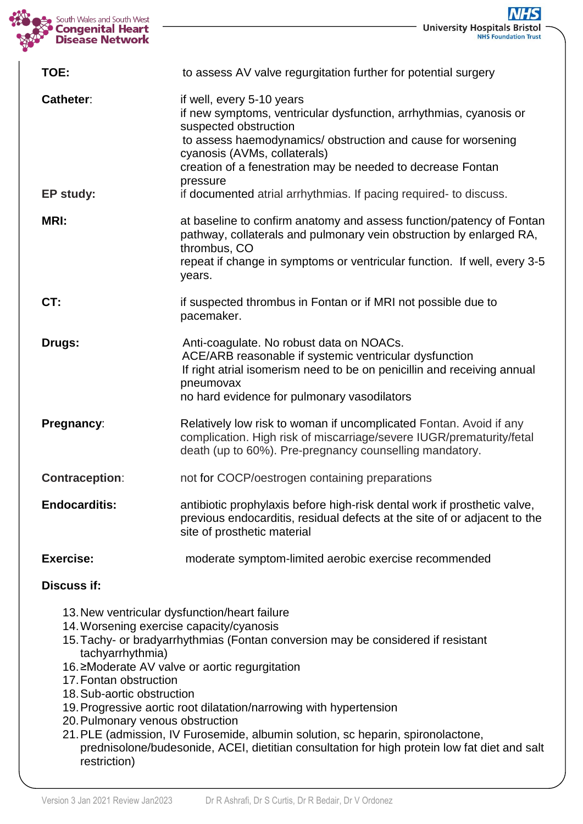

**University Hospitals Bristol** 

| TOE:                          | to assess AV valve regurgitation further for potential surgery                                                                                                                                                                                                                                                                                                           |
|-------------------------------|--------------------------------------------------------------------------------------------------------------------------------------------------------------------------------------------------------------------------------------------------------------------------------------------------------------------------------------------------------------------------|
| <b>Catheter:</b><br>EP study: | if well, every 5-10 years<br>if new symptoms, ventricular dysfunction, arrhythmias, cyanosis or<br>suspected obstruction<br>to assess haemodynamics/ obstruction and cause for worsening<br>cyanosis (AVMs, collaterals)<br>creation of a fenestration may be needed to decrease Fontan<br>pressure<br>if documented atrial arrhythmias. If pacing required- to discuss. |
| <b>MRI:</b>                   | at baseline to confirm anatomy and assess function/patency of Fontan<br>pathway, collaterals and pulmonary vein obstruction by enlarged RA,<br>thrombus, CO<br>repeat if change in symptoms or ventricular function. If well, every 3-5<br>years.                                                                                                                        |
| CT:                           | if suspected thrombus in Fontan or if MRI not possible due to<br>pacemaker.                                                                                                                                                                                                                                                                                              |
| Drugs:                        | Anti-coagulate. No robust data on NOACs.<br>ACE/ARB reasonable if systemic ventricular dysfunction<br>If right atrial isomerism need to be on penicillin and receiving annual<br>pneumovax<br>no hard evidence for pulmonary vasodilators                                                                                                                                |
| Pregnancy:                    | Relatively low risk to woman if uncomplicated Fontan. Avoid if any<br>complication. High risk of miscarriage/severe IUGR/prematurity/fetal<br>death (up to 60%). Pre-pregnancy counselling mandatory.                                                                                                                                                                    |
| <b>Contraception:</b>         | not for COCP/oestrogen containing preparations                                                                                                                                                                                                                                                                                                                           |
| <b>Endocarditis:</b>          | antibiotic prophylaxis before high-risk dental work if prosthetic valve,<br>previous endocarditis, residual defects at the site of or adjacent to the<br>site of prosthetic material                                                                                                                                                                                     |
| <b>Exercise:</b>              | moderate symptom-limited aerobic exercise recommended                                                                                                                                                                                                                                                                                                                    |

### **Discuss if:**

- 13.New ventricular dysfunction/heart failure
- 14.Worsening exercise capacity/cyanosis
- 15.Tachy- or bradyarrhythmias (Fontan conversion may be considered if resistant tachyarrhythmia)
- 16.≥Moderate AV valve or aortic regurgitation
- 17.Fontan obstruction
- 18.Sub-aortic obstruction
- 19.Progressive aortic root dilatation/narrowing with hypertension
- 20.Pulmonary venous obstruction
- 21.PLE (admission, IV Furosemide, albumin solution, sc heparin, spironolactone, prednisolone/budesonide, ACEI, dietitian consultation for high protein low fat diet and salt restriction)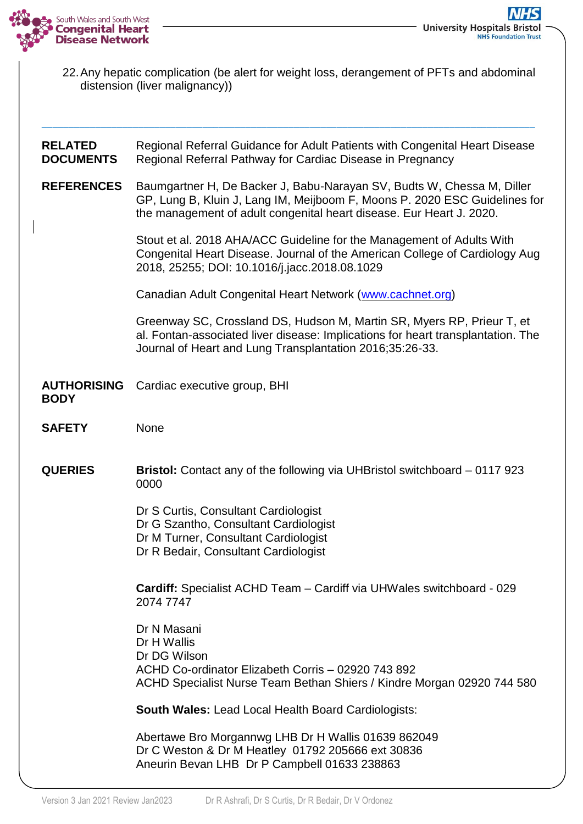

22.Any hepatic complication (be alert for weight loss, derangement of PFTs and abdominal distension (liver malignancy))

| <b>RELATED</b><br><b>DOCUMENTS</b> | Regional Referral Guidance for Adult Patients with Congenital Heart Disease<br>Regional Referral Pathway for Cardiac Disease in Pregnancy                                                                                    |
|------------------------------------|------------------------------------------------------------------------------------------------------------------------------------------------------------------------------------------------------------------------------|
| <b>REFERENCES</b>                  | Baumgartner H, De Backer J, Babu-Narayan SV, Budts W, Chessa M, Diller<br>GP, Lung B, Kluin J, Lang IM, Meijboom F, Moons P. 2020 ESC Guidelines for<br>the management of adult congenital heart disease. Eur Heart J. 2020. |
|                                    | Stout et al. 2018 AHA/ACC Guideline for the Management of Adults With<br>Congenital Heart Disease. Journal of the American College of Cardiology Aug<br>2018, 25255; DOI: 10.1016/j.jacc.2018.08.1029                        |
|                                    | Canadian Adult Congenital Heart Network (www.cachnet.org)                                                                                                                                                                    |
|                                    | Greenway SC, Crossland DS, Hudson M, Martin SR, Myers RP, Prieur T, et<br>al. Fontan-associated liver disease: Implications for heart transplantation. The<br>Journal of Heart and Lung Transplantation 2016;35:26-33.       |
| <b>AUTHORISING</b><br><b>BODY</b>  | Cardiac executive group, BHI                                                                                                                                                                                                 |
| <b>SAFETY</b>                      | None                                                                                                                                                                                                                         |
| <b>QUERIES</b>                     | <b>Bristol:</b> Contact any of the following via UHBristol switchboard – 0117 923<br>0000                                                                                                                                    |
|                                    | Dr S Curtis, Consultant Cardiologist<br>Dr G Szantho, Consultant Cardiologist<br>Dr M Turner, Consultant Cardiologist<br>Dr R Bedair, Consultant Cardiologist                                                                |
|                                    | Cardiff: Specialist ACHD Team - Cardiff via UHWales switchboard - 029<br>2074 7747                                                                                                                                           |
|                                    | Dr N Masani<br>Dr H Wallis<br>Dr DG Wilson<br>ACHD Co-ordinator Elizabeth Corris - 02920 743 892<br>ACHD Specialist Nurse Team Bethan Shiers / Kindre Morgan 02920 744 580                                                   |
|                                    | <b>South Wales: Lead Local Health Board Cardiologists:</b>                                                                                                                                                                   |
|                                    | Abertawe Bro Morgannwg LHB Dr H Wallis 01639 862049<br>Dr C Weston & Dr M Heatley 01792 205666 ext 30836<br>Aneurin Bevan LHB Dr P Campbell 01633 238863                                                                     |